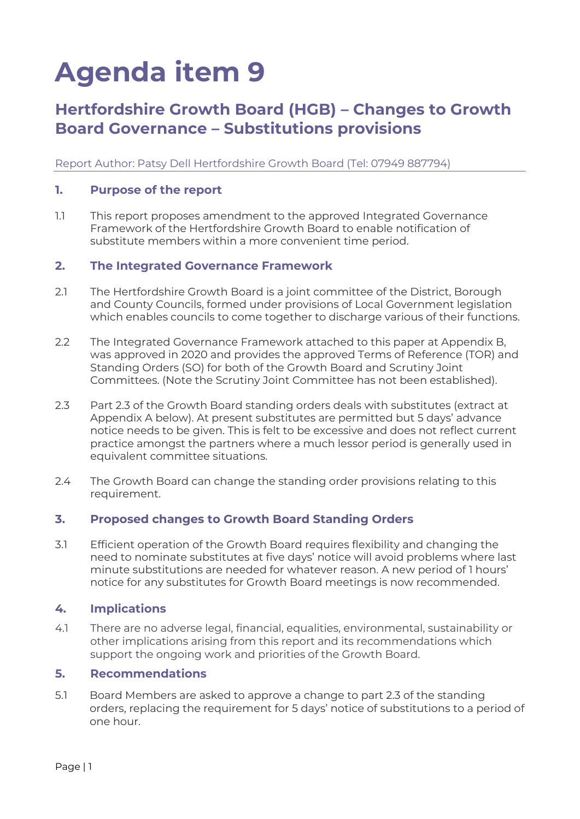# **Agenda item 9**

## **Hertfordshire Growth Board (HGB) – Changes to Growth Board Governance – Substitutions provisions**

Report Author: Patsy Dell Hertfordshire Growth Board (Tel: 07949 887794)

#### **1. Purpose of the report**

1.1 This report proposes amendment to the approved Integrated Governance Framework of the Hertfordshire Growth Board to enable notification of substitute members within a more convenient time period.

#### **2. The Integrated Governance Framework**

- 2.1 The Hertfordshire Growth Board is a joint committee of the District, Borough and County Councils, formed under provisions of Local Government legislation which enables councils to come together to discharge various of their functions.
- 2.2 The Integrated Governance Framework attached to this paper at Appendix B, was approved in 2020 and provides the approved Terms of Reference (TOR) and Standing Orders (SO) for both of the Growth Board and Scrutiny Joint Committees. (Note the Scrutiny Joint Committee has not been established).
- 2.3 Part 2.3 of the Growth Board standing orders deals with substitutes (extract at Appendix A below). At present substitutes are permitted but 5 days' advance notice needs to be given. This is felt to be excessive and does not reflect current practice amongst the partners where a much lessor period is generally used in equivalent committee situations.
- 2.4 The Growth Board can change the standing order provisions relating to this requirement.

### **3. Proposed changes to Growth Board Standing Orders**

3.1 Efficient operation of the Growth Board requires flexibility and changing the need to nominate substitutes at five days' notice will avoid problems where last minute substitutions are needed for whatever reason. A new period of 1 hours' notice for any substitutes for Growth Board meetings is now recommended.

### **4. Implications**

4.1 There are no adverse legal, financial, equalities, environmental, sustainability or other implications arising from this report and its recommendations which support the ongoing work and priorities of the Growth Board.

#### **5. Recommendations**

5.1 Board Members are asked to approve a change to part 2.3 of the standing orders, replacing the requirement for 5 days' notice of substitutions to a period of one hour.